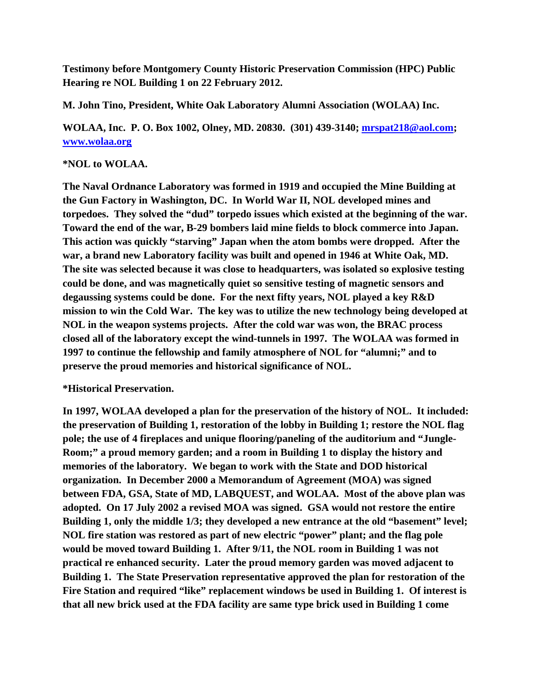**Testimony before Montgomery County Historic Preservation Commission (HPC) Public Hearing re NOL Building 1 on 22 February 2012.** 

**M. John Tino, President, White Oak Laboratory Alumni Association (WOLAA) Inc.** 

**WOLAA, Inc. P. O. Box 1002, Olney, MD. 20830. (301) 439-3140; mrspat218@aol.com; www.wolaa.org**

## **\*NOL to WOLAA.**

**The Naval Ordnance Laboratory was formed in 1919 and occupied the Mine Building at the Gun Factory in Washington, DC. In World War II, NOL developed mines and torpedoes. They solved the "dud" torpedo issues which existed at the beginning of the war. Toward the end of the war, B-29 bombers laid mine fields to block commerce into Japan. This action was quickly "starving" Japan when the atom bombs were dropped. After the war, a brand new Laboratory facility was built and opened in 1946 at White Oak, MD. The site was selected because it was close to headquarters, was isolated so explosive testing could be done, and was magnetically quiet so sensitive testing of magnetic sensors and degaussing systems could be done. For the next fifty years, NOL played a key R&D mission to win the Cold War. The key was to utilize the new technology being developed at NOL in the weapon systems projects. After the cold war was won, the BRAC process closed all of the laboratory except the wind-tunnels in 1997. The WOLAA was formed in 1997 to continue the fellowship and family atmosphere of NOL for "alumni;" and to preserve the proud memories and historical significance of NOL.** 

## **\*Historical Preservation.**

**In 1997, WOLAA developed a plan for the preservation of the history of NOL. It included: the preservation of Building 1, restoration of the lobby in Building 1; restore the NOL flag pole; the use of 4 fireplaces and unique flooring/paneling of the auditorium and "Jungle-Room;" a proud memory garden; and a room in Building 1 to display the history and memories of the laboratory. We began to work with the State and DOD historical organization. In December 2000 a Memorandum of Agreement (MOA) was signed between FDA, GSA, State of MD, LABQUEST, and WOLAA. Most of the above plan was adopted. On 17 July 2002 a revised MOA was signed. GSA would not restore the entire Building 1, only the middle 1/3; they developed a new entrance at the old "basement" level; NOL fire station was restored as part of new electric "power" plant; and the flag pole would be moved toward Building 1. After 9/11, the NOL room in Building 1 was not practical re enhanced security. Later the proud memory garden was moved adjacent to Building 1. The State Preservation representative approved the plan for restoration of the Fire Station and required "like" replacement windows be used in Building 1. Of interest is that all new brick used at the FDA facility are same type brick used in Building 1 come**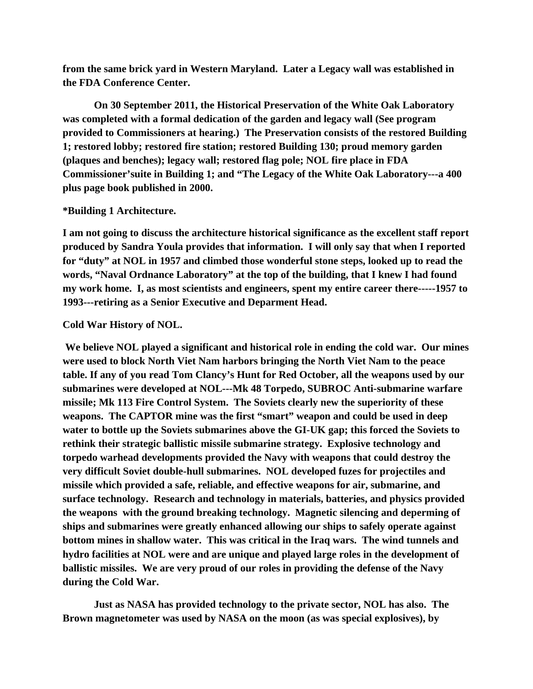**from the same brick yard in Western Maryland. Later a Legacy wall was established in the FDA Conference Center.** 

 **On 30 September 2011, the Historical Preservation of the White Oak Laboratory was completed with a formal dedication of the garden and legacy wall (See program provided to Commissioners at hearing.) The Preservation consists of the restored Building 1; restored lobby; restored fire station; restored Building 130; proud memory garden (plaques and benches); legacy wall; restored flag pole; NOL fire place in FDA Commissioner'suite in Building 1; and "The Legacy of the White Oak Laboratory---a 400 plus page book published in 2000.** 

## **\*Building 1 Architecture.**

**I am not going to discuss the architecture historical significance as the excellent staff report produced by Sandra Youla provides that information. I will only say that when I reported for "duty" at NOL in 1957 and climbed those wonderful stone steps, looked up to read the words, "Naval Ordnance Laboratory" at the top of the building, that I knew I had found my work home. I, as most scientists and engineers, spent my entire career there-----1957 to 1993---retiring as a Senior Executive and Deparment Head.** 

## **Cold War History of NOL.**

 **We believe NOL played a significant and historical role in ending the cold war. Our mines were used to block North Viet Nam harbors bringing the North Viet Nam to the peace table. If any of you read Tom Clancy's Hunt for Red October, all the weapons used by our submarines were developed at NOL---Mk 48 Torpedo, SUBROC Anti-submarine warfare missile; Mk 113 Fire Control System. The Soviets clearly new the superiority of these weapons. The CAPTOR mine was the first "smart" weapon and could be used in deep water to bottle up the Soviets submarines above the GI-UK gap; this forced the Soviets to rethink their strategic ballistic missile submarine strategy. Explosive technology and torpedo warhead developments provided the Navy with weapons that could destroy the very difficult Soviet double-hull submarines. NOL developed fuzes for projectiles and missile which provided a safe, reliable, and effective weapons for air, submarine, and surface technology. Research and technology in materials, batteries, and physics provided the weapons with the ground breaking technology. Magnetic silencing and deperming of ships and submarines were greatly enhanced allowing our ships to safely operate against bottom mines in shallow water. This was critical in the Iraq wars. The wind tunnels and hydro facilities at NOL were and are unique and played large roles in the development of ballistic missiles. We are very proud of our roles in providing the defense of the Navy during the Cold War.** 

 **Just as NASA has provided technology to the private sector, NOL has also. The Brown magnetometer was used by NASA on the moon (as was special explosives), by**